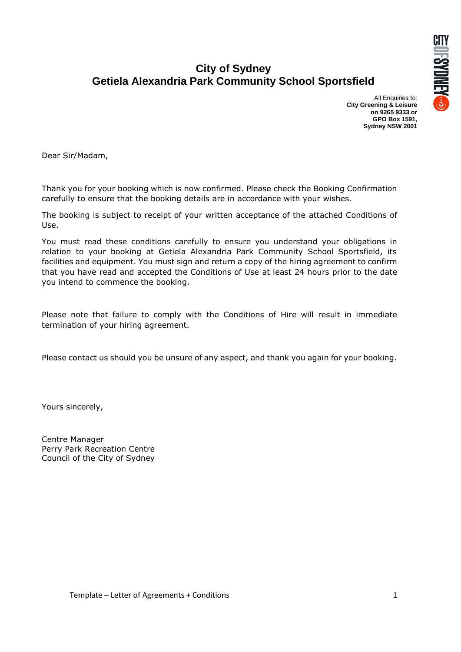

# **City of Sydney Getiela Alexandria Park Community School Sportsfield**

All Enquiries to: **City Greening & Leisure on 9265 9333 or GPO Box 1591, Sydney NSW 2001**

Dear Sir/Madam,

Thank you for your booking which is now confirmed. Please check the Booking Confirmation carefully to ensure that the booking details are in accordance with your wishes.

The booking is subject to receipt of your written acceptance of the attached Conditions of Use.

You must read these conditions carefully to ensure you understand your obligations in relation to your booking at Getiela Alexandria Park Community School Sportsfield, its facilities and equipment. You must sign and return a copy of the hiring agreement to confirm that you have read and accepted the Conditions of Use at least 24 hours prior to the date you intend to commence the booking.

Please note that failure to comply with the Conditions of Hire will result in immediate termination of your hiring agreement.

Please contact us should you be unsure of any aspect, and thank you again for your booking.

Yours sincerely,

Centre Manager Perry Park Recreation Centre Council of the City of Sydney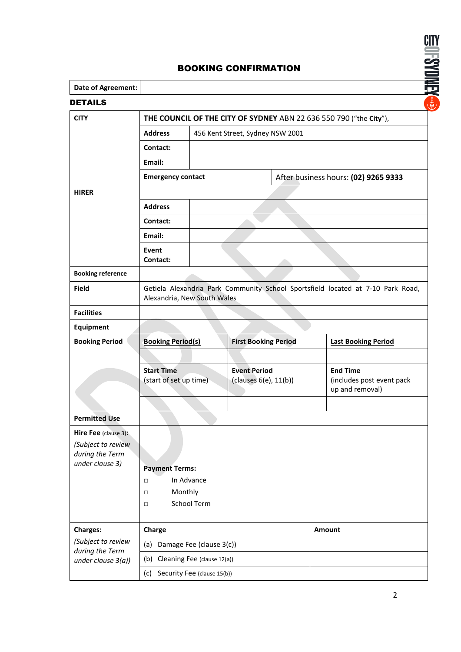

# BOOKING CONFIRMATION

| <b>Date of Agreement:</b>                                   |                                                                                                                |  |                                              |  |                                              |  |
|-------------------------------------------------------------|----------------------------------------------------------------------------------------------------------------|--|----------------------------------------------|--|----------------------------------------------|--|
| <b>DETAILS</b>                                              |                                                                                                                |  |                                              |  |                                              |  |
| <b>CITY</b>                                                 | THE COUNCIL OF THE CITY OF SYDNEY ABN 22 636 550 790 ("the City"),                                             |  |                                              |  |                                              |  |
|                                                             | <b>Address</b><br>456 Kent Street, Sydney NSW 2001                                                             |  |                                              |  |                                              |  |
|                                                             | Contact:                                                                                                       |  |                                              |  |                                              |  |
|                                                             | Email:                                                                                                         |  |                                              |  |                                              |  |
|                                                             | <b>Emergency contact</b>                                                                                       |  |                                              |  | After business hours: (02) 9265 9333         |  |
| <b>HIRER</b>                                                |                                                                                                                |  |                                              |  |                                              |  |
|                                                             | <b>Address</b>                                                                                                 |  |                                              |  |                                              |  |
|                                                             | Contact:<br>Email:                                                                                             |  |                                              |  |                                              |  |
|                                                             |                                                                                                                |  |                                              |  |                                              |  |
|                                                             | Event<br>Contact:                                                                                              |  |                                              |  |                                              |  |
| <b>Booking reference</b>                                    |                                                                                                                |  |                                              |  |                                              |  |
| <b>Field</b>                                                | Getiela Alexandria Park Community School Sportsfield located at 7-10 Park Road,<br>Alexandria, New South Wales |  |                                              |  |                                              |  |
| <b>Facilities</b>                                           |                                                                                                                |  |                                              |  |                                              |  |
| <b>Equipment</b>                                            |                                                                                                                |  |                                              |  |                                              |  |
| <b>Booking Period</b>                                       | <b>Booking Period(s)</b>                                                                                       |  | <b>First Booking Period</b>                  |  | <b>Last Booking Period</b>                   |  |
|                                                             |                                                                                                                |  |                                              |  |                                              |  |
|                                                             | <b>Start Time</b>                                                                                              |  | <b>Event Period</b><br>(clauses 6(e), 11(b)) |  | <b>End Time</b>                              |  |
|                                                             | (start of set up time)                                                                                         |  |                                              |  | (includes post event pack<br>up and removal) |  |
|                                                             |                                                                                                                |  |                                              |  |                                              |  |
| <b>Permitted Use</b>                                        |                                                                                                                |  |                                              |  |                                              |  |
| <b>Hire Fee</b> (clause 3):                                 |                                                                                                                |  |                                              |  |                                              |  |
| (Subject to review<br>during the Term                       |                                                                                                                |  |                                              |  |                                              |  |
| under clause 3)                                             |                                                                                                                |  |                                              |  |                                              |  |
|                                                             | <b>Payment Terms:</b><br>In Advance<br>$\Box$<br>Monthly<br>$\Box$                                             |  |                                              |  |                                              |  |
|                                                             |                                                                                                                |  |                                              |  |                                              |  |
|                                                             | <b>School Term</b><br>$\Box$                                                                                   |  |                                              |  |                                              |  |
|                                                             |                                                                                                                |  |                                              |  |                                              |  |
| <b>Charges:</b>                                             | Charge                                                                                                         |  |                                              |  | Amount                                       |  |
| (Subject to review<br>during the Term<br>under clause 3(a)) | (a) Damage Fee (clause 3(c))                                                                                   |  |                                              |  |                                              |  |
|                                                             | Cleaning Fee (clause 12(a))<br>(b)                                                                             |  |                                              |  |                                              |  |
|                                                             | (c)<br>Security Fee (clause 15(b))                                                                             |  |                                              |  |                                              |  |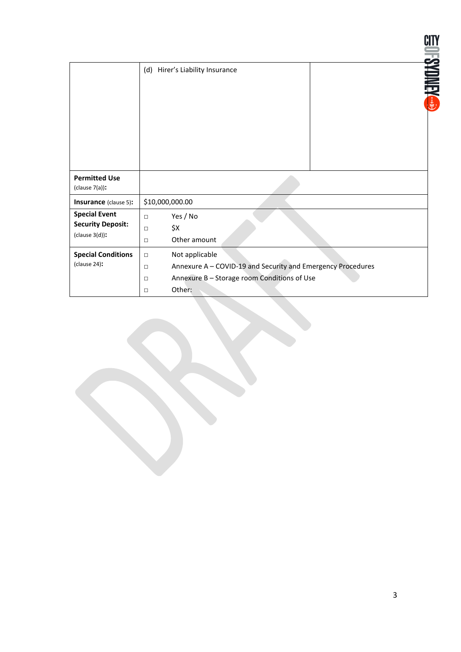|                                                                       | (d) Hirer's Liability Insurance                               | <b>IFSYDMEY</b>                                                                                                      |  |  |
|-----------------------------------------------------------------------|---------------------------------------------------------------|----------------------------------------------------------------------------------------------------------------------|--|--|
| <b>Permitted Use</b><br>(clause $7(a)$ ):                             |                                                               |                                                                                                                      |  |  |
| <b>Insurance</b> (clause 5):                                          | \$10,000,000.00                                               |                                                                                                                      |  |  |
| <b>Special Event</b><br><b>Security Deposit:</b><br>$(clause 3(d))$ : | Yes / No<br>$\Box$<br>\$X<br>$\Box$<br>Other amount<br>$\Box$ |                                                                                                                      |  |  |
| <b>Special Conditions</b><br>(clause 24):                             | Not applicable<br>$\Box$<br>$\Box$<br>$\Box$<br>$\Box$        | Annexure A - COVID-19 and Security and Emergency Procedures<br>Annexure B - Storage room Conditions of Use<br>Other: |  |  |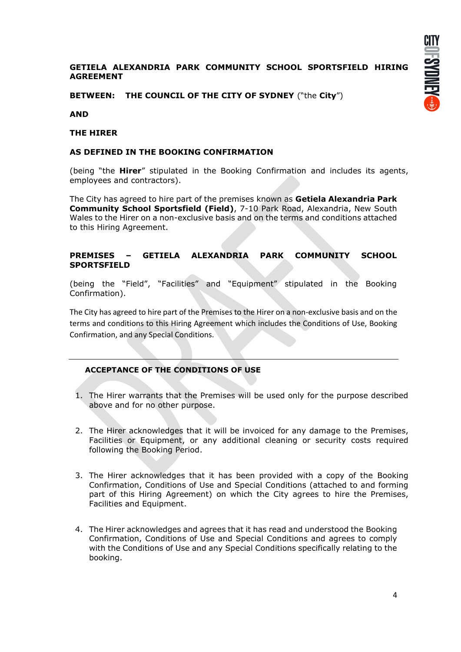### **GETIELA ALEXANDRIA PARK COMMUNITY SCHOOL SPORTSFIELD HIRING AGREEMENT**

**BETWEEN: THE COUNCIL OF THE CITY OF SYDNEY** ("the **City**")

**AND**

#### **THE HIRER**

#### **AS DEFINED IN THE BOOKING CONFIRMATION**

(being "the **Hirer**" stipulated in the Booking Confirmation and includes its agents, employees and contractors).

The City has agreed to hire part of the premises known as **Getiela Alexandria Park Community School Sportsfield (Field)**, 7-10 Park Road, Alexandria, New South Wales to the Hirer on a non-exclusive basis and on the terms and conditions attached to this Hiring Agreement.

#### **PREMISES – GETIELA ALEXANDRIA PARK COMMUNITY SCHOOL SPORTSFIELD**

(being the "Field", "Facilities" and "Equipment" stipulated in the Booking Confirmation).

The City has agreed to hire part of the Premises to the Hirer on a non-exclusive basis and on the terms and conditions to this Hiring Agreement which includes the Conditions of Use, Booking Confirmation, and any Special Conditions.

#### **ACCEPTANCE OF THE CONDITIONS OF USE**

- 1. The Hirer warrants that the Premises will be used only for the purpose described above and for no other purpose.
- 2. The Hirer acknowledges that it will be invoiced for any damage to the Premises, Facilities or Equipment, or any additional cleaning or security costs required following the Booking Period.
- 3. The Hirer acknowledges that it has been provided with a copy of the Booking Confirmation, Conditions of Use and Special Conditions (attached to and forming part of this Hiring Agreement) on which the City agrees to hire the Premises, Facilities and Equipment.
- 4. The Hirer acknowledges and agrees that it has read and understood the Booking Confirmation, Conditions of Use and Special Conditions and agrees to comply with the Conditions of Use and any Special Conditions specifically relating to the booking.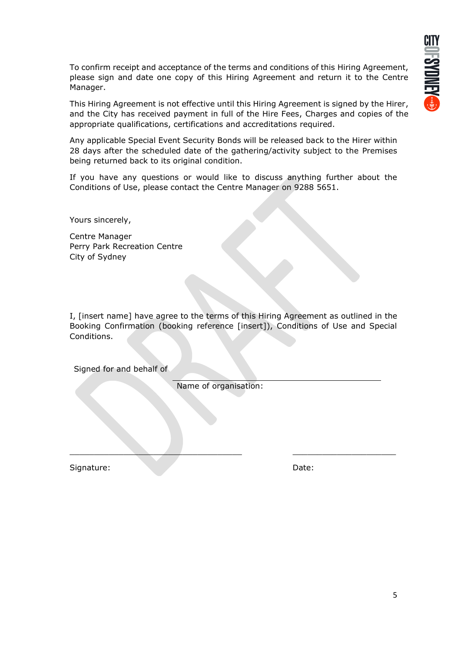To confirm receipt and acceptance of the terms and conditions of this Hiring Agreement, please sign and date one copy of this Hiring Agreement and return it to the Centre Manager.

This Hiring Agreement is not effective until this Hiring Agreement is signed by the Hirer, and the City has received payment in full of the Hire Fees, Charges and copies of the appropriate qualifications, certifications and accreditations required.

Any applicable Special Event Security Bonds will be released back to the Hirer within 28 days after the scheduled date of the gathering/activity subject to the Premises being returned back to its original condition.

If you have any questions or would like to discuss anything further about the Conditions of Use, please contact the Centre Manager on 9288 5651.

Yours sincerely,

Centre Manager Perry Park Recreation Centre City of Sydney

I, [insert name] have agree to the terms of this Hiring Agreement as outlined in the Booking Confirmation (booking reference [insert]), Conditions of Use and Special Conditions.

Signed for and behalf of

Name of organisation:

\_\_\_\_\_\_\_\_\_\_\_\_\_\_\_\_\_\_\_\_\_\_\_\_\_\_\_\_\_\_\_\_\_\_\_ \_\_\_\_\_\_\_\_\_\_\_\_\_\_\_\_\_\_\_\_\_

Signature: Date: Date: Date: Date: Date: Date: Date: Date: Date: Date: Date: Date: Date: Date: Date: Date: Date: Date: Date: Date: Date: Date: Date: Date: Date: Date: Date: Date: Date: Date: Date: Date: Date: Date: Date: D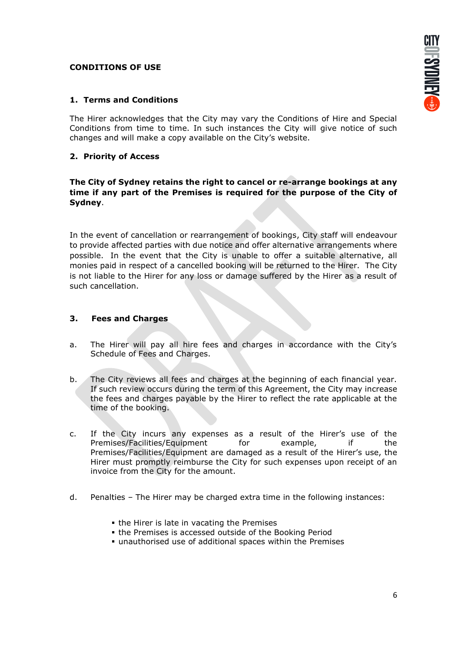### **CONDITIONS OF USE**

# **1. Terms and Conditions**

The Hirer acknowledges that the City may vary the Conditions of Hire and Special Conditions from time to time. In such instances the City will give notice of such changes and will make a copy available on the City's website.

# **2. Priority of Access**

**The City of Sydney retains the right to cancel or re-arrange bookings at any time if any part of the Premises is required for the purpose of the City of Sydney**.

In the event of cancellation or rearrangement of bookings, City staff will endeavour to provide affected parties with due notice and offer alternative arrangements where possible. In the event that the City is unable to offer a suitable alternative, all monies paid in respect of a cancelled booking will be returned to the Hirer. The City is not liable to the Hirer for any loss or damage suffered by the Hirer as a result of such cancellation.

# **3. Fees and Charges**

- a. The Hirer will pay all hire fees and charges in accordance with the City's Schedule of Fees and Charges.
- b. The City reviews all fees and charges at the beginning of each financial year. If such review occurs during the term of this Agreement, the City may increase the fees and charges payable by the Hirer to reflect the rate applicable at the time of the booking.
- c. If the City incurs any expenses as a result of the Hirer's use of the Premises/Facilities/Equipment for example, if the Premises/Facilities/Equipment are damaged as a result of the Hirer's use, the Hirer must promptly reimburse the City for such expenses upon receipt of an invoice from the City for the amount.
- d. Penalties The Hirer may be charged extra time in the following instances:
	- **.** the Hirer is late in vacating the Premises
	- **.** the Premises is accessed outside of the Booking Period
	- **.** unauthorised use of additional spaces within the Premises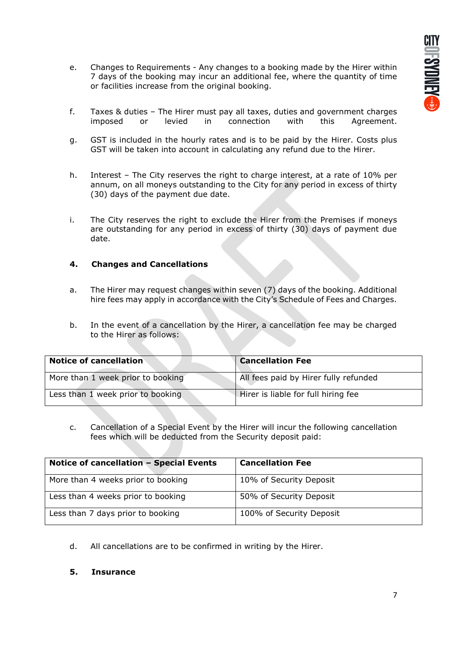- e. Changes to Requirements Any changes to a booking made by the Hirer within 7 days of the booking may incur an additional fee, where the quantity of time or facilities increase from the original booking.
- f. Taxes & duties The Hirer must pay all taxes, duties and government charges imposed or levied in connection with this Agreement.
- g. GST is included in the hourly rates and is to be paid by the Hirer. Costs plus GST will be taken into account in calculating any refund due to the Hirer.
- h. Interest The City reserves the right to charge interest, at a rate of 10% per annum, on all moneys outstanding to the City for any period in excess of thirty (30) days of the payment due date.
- i. The City reserves the right to exclude the Hirer from the Premises if moneys are outstanding for any period in excess of thirty (30) days of payment due date.

# **4. Changes and Cancellations**

- a. The Hirer may request changes within seven (7) days of the booking. Additional hire fees may apply in accordance with the City's Schedule of Fees and Charges.
- b. In the event of a cancellation by the Hirer, a cancellation fee may be charged to the Hirer as follows:

| <b>Notice of cancellation</b>     | <b>Cancellation Fee</b>               |
|-----------------------------------|---------------------------------------|
| More than 1 week prior to booking | All fees paid by Hirer fully refunded |
| Less than 1 week prior to booking | Hirer is liable for full hiring fee   |

c. Cancellation of a Special Event by the Hirer will incur the following cancellation fees which will be deducted from the Security deposit paid:

| Notice of cancellation - Special Events | <b>Cancellation Fee</b>  |
|-----------------------------------------|--------------------------|
| More than 4 weeks prior to booking      | 10% of Security Deposit  |
| Less than 4 weeks prior to booking      | 50% of Security Deposit  |
| Less than 7 days prior to booking       | 100% of Security Deposit |

- d. All cancellations are to be confirmed in writing by the Hirer.
- **5. Insurance**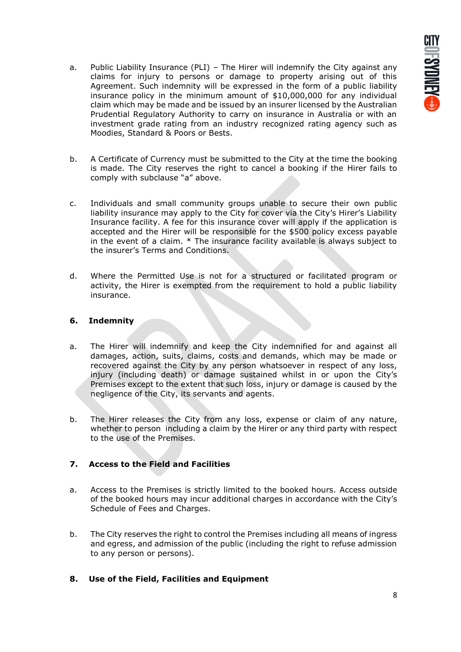- a. Public Liability Insurance (PLI) The Hirer will indemnify the City against any claims for injury to persons or damage to property arising out of this Agreement. Such indemnity will be expressed in the form of a public liability insurance policy in the minimum amount of \$10,000,000 for any individual claim which may be made and be issued by an insurer licensed by the Australian Prudential Regulatory Authority to carry on insurance in Australia or with an investment grade rating from an industry recognized rating agency such as Moodies, Standard & Poors or Bests.
- b. A Certificate of Currency must be submitted to the City at the time the booking is made. The City reserves the right to cancel a booking if the Hirer fails to comply with subclause "a" above.
- c. Individuals and small community groups unable to secure their own public liability insurance may apply to the City for cover via the City's Hirer's Liability Insurance facility. A fee for this insurance cover will apply if the application is accepted and the Hirer will be responsible for the \$500 policy excess payable in the event of a claim. \* The insurance facility available is always subject to the insurer's Terms and Conditions.
- d. Where the Permitted Use is not for a structured or facilitated program or activity, the Hirer is exempted from the requirement to hold a public liability insurance.

# **6. Indemnity**

- a. The Hirer will indemnify and keep the City indemnified for and against all damages, action, suits, claims, costs and demands, which may be made or recovered against the City by any person whatsoever in respect of any loss, injury (including death) or damage sustained whilst in or upon the City's Premises except to the extent that such loss, injury or damage is caused by the negligence of the City, its servants and agents.
- b. The Hirer releases the City from any loss, expense or claim of any nature, whether to person including a claim by the Hirer or any third party with respect to the use of the Premises.

# **7. Access to the Field and Facilities**

- a. Access to the Premises is strictly limited to the booked hours. Access outside of the booked hours may incur additional charges in accordance with the City's Schedule of Fees and Charges.
- b. The City reserves the right to control the Premises including all means of ingress and egress, and admission of the public (including the right to refuse admission to any person or persons).
- **8. Use of the Field, Facilities and Equipment**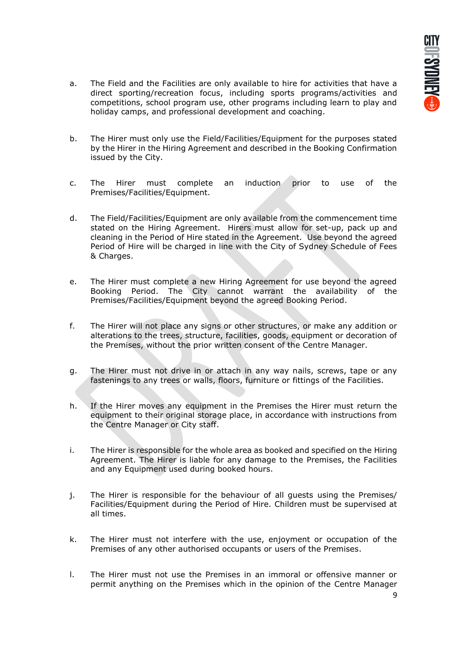- a. The Field and the Facilities are only available to hire for activities that have a direct sporting/recreation focus, including sports programs/activities and competitions, school program use, other programs including learn to play and holiday camps, and professional development and coaching.
- b. The Hirer must only use the Field/Facilities/Equipment for the purposes stated by the Hirer in the Hiring Agreement and described in the Booking Confirmation issued by the City.
- c. The Hirer must complete an induction prior to use of the Premises/Facilities/Equipment.
- d. The Field/Facilities/Equipment are only available from the commencement time stated on the Hiring Agreement. Hirers must allow for set-up, pack up and cleaning in the Period of Hire stated in the Agreement. Use beyond the agreed Period of Hire will be charged in line with the City of Sydney Schedule of Fees & Charges.
- e. The Hirer must complete a new Hiring Agreement for use beyond the agreed Booking Period. The City cannot warrant the availability of the Premises/Facilities/Equipment beyond the agreed Booking Period.
- f. The Hirer will not place any signs or other structures, or make any addition or alterations to the trees, structure, facilities, goods, equipment or decoration of the Premises, without the prior written consent of the Centre Manager.
- g. The Hirer must not drive in or attach in any way nails, screws, tape or any fastenings to any trees or walls, floors, furniture or fittings of the Facilities.
- h. If the Hirer moves any equipment in the Premises the Hirer must return the equipment to their original storage place, in accordance with instructions from the Centre Manager or City staff.
- i. The Hirer is responsible for the whole area as booked and specified on the Hiring Agreement. The Hirer is liable for any damage to the Premises, the Facilities and any Equipment used during booked hours.
- j. The Hirer is responsible for the behaviour of all guests using the Premises/ Facilities/Equipment during the Period of Hire. Children must be supervised at all times.
- k. The Hirer must not interfere with the use, enjoyment or occupation of the Premises of any other authorised occupants or users of the Premises.
- l. The Hirer must not use the Premises in an immoral or offensive manner or permit anything on the Premises which in the opinion of the Centre Manager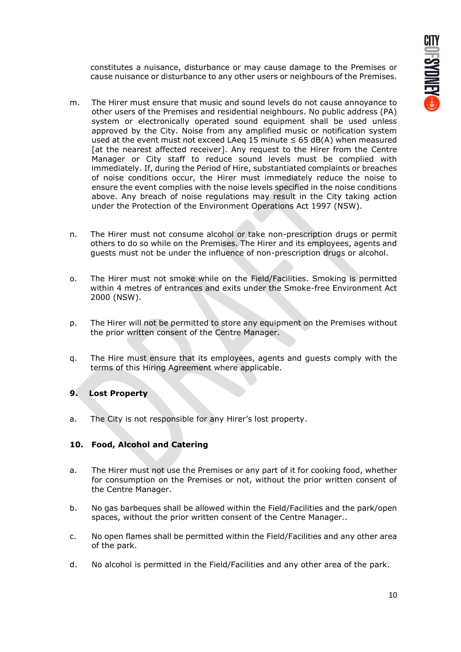constitutes a nuisance, disturbance or may cause damage to the Premises or cause nuisance or disturbance to any other users or neighbours of the Premises.

- m. The Hirer must ensure that music and sound levels do not cause annoyance to other users of the Premises and residential neighbours. No public address (PA) system or electronically operated sound equipment shall be used unless approved by the City. Noise from any amplified music or notification system used at the event must not exceed LAeq 15 minute  $\leq$  65 dB(A) when measured [at the nearest affected receiver]. Any request to the Hirer from the Centre Manager or City staff to reduce sound levels must be complied with immediately. If, during the Period of Hire, substantiated complaints or breaches of noise conditions occur, the Hirer must immediately reduce the noise to ensure the event complies with the noise levels specified in the noise conditions above. Any breach of noise regulations may result in the City taking action under the Protection of the Environment Operations Act 1997 (NSW).
- n. The Hirer must not consume alcohol or take non-prescription drugs or permit others to do so while on the Premises. The Hirer and its employees, agents and guests must not be under the influence of non-prescription drugs or alcohol.
- o. The Hirer must not smoke while on the Field/Facilities. Smoking is permitted within 4 metres of entrances and exits under the Smoke-free Environment Act 2000 (NSW).
- p. The Hirer will not be permitted to store any equipment on the Premises without the prior written consent of the Centre Manager.
- q. The Hire must ensure that its employees, agents and guests comply with the terms of this Hiring Agreement where applicable.

# **9. Lost Property**

a. The City is not responsible for any Hirer's lost property.

# **10. Food, Alcohol and Catering**

- a. The Hirer must not use the Premises or any part of it for cooking food, whether for consumption on the Premises or not, without the prior written consent of the Centre Manager.
- b. No gas barbeques shall be allowed within the Field/Facilities and the park/open spaces, without the prior written consent of the Centre Manager..
- c. No open flames shall be permitted within the Field/Facilities and any other area of the park.
- d. No alcohol is permitted in the Field/Facilities and any other area of the park.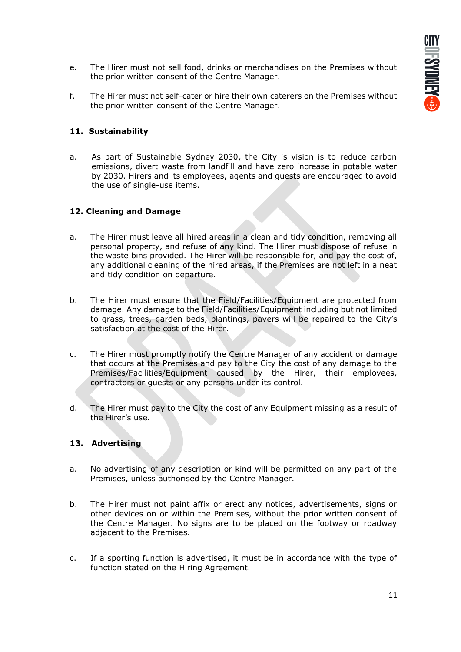- e. The Hirer must not sell food, drinks or merchandises on the Premises without the prior written consent of the Centre Manager.
- f. The Hirer must not self-cater or hire their own caterers on the Premises without the prior written consent of the Centre Manager.

### **11. Sustainability**

a. As part of Sustainable Sydney 2030, the City is vision is to reduce carbon emissions, divert waste from landfill and have zero increase in potable water by 2030. Hirers and its employees, agents and guests are encouraged to avoid the use of single-use items.

### **12. Cleaning and Damage**

- a. The Hirer must leave all hired areas in a clean and tidy condition, removing all personal property, and refuse of any kind. The Hirer must dispose of refuse in the waste bins provided. The Hirer will be responsible for, and pay the cost of, any additional cleaning of the hired areas, if the Premises are not left in a neat and tidy condition on departure.
- b. The Hirer must ensure that the Field/Facilities/Equipment are protected from damage. Any damage to the Field/Facilities/Equipment including but not limited to grass, trees, garden beds, plantings, pavers will be repaired to the City's satisfaction at the cost of the Hirer.
- c. The Hirer must promptly notify the Centre Manager of any accident or damage that occurs at the Premises and pay to the City the cost of any damage to the Premises/Facilities/Equipment caused by the Hirer, their employees, contractors or guests or any persons under its control.
- d. The Hirer must pay to the City the cost of any Equipment missing as a result of the Hirer's use.

#### **13. Advertising**

- a. No advertising of any description or kind will be permitted on any part of the Premises, unless authorised by the Centre Manager.
- b. The Hirer must not paint affix or erect any notices, advertisements, signs or other devices on or within the Premises, without the prior written consent of the Centre Manager. No signs are to be placed on the footway or roadway adjacent to the Premises.
- c. If a sporting function is advertised, it must be in accordance with the type of function stated on the Hiring Agreement.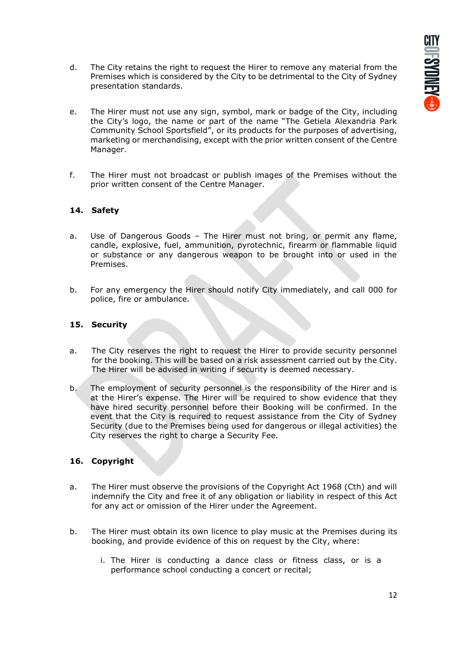- d. The City retains the right to request the Hirer to remove any material from the Premises which is considered by the City to be detrimental to the City of Sydney presentation standards.
- e. The Hirer must not use any sign, symbol, mark or badge of the City, including the City's logo, the name or part of the name "The Getiela Alexandria Park Community School Sportsfield", or its products for the purposes of advertising, marketing or merchandising, except with the prior written consent of the Centre Manager.
- f. The Hirer must not broadcast or publish images of the Premises without the prior written consent of the Centre Manager.

# **14. Safety**

- a. Use of Dangerous Goods The Hirer must not bring, or permit any flame, candle, explosive, fuel, ammunition, pyrotechnic, firearm or flammable liquid or substance or any dangerous weapon to be brought into or used in the Premises.
- b. For any emergency the Hirer should notify City immediately, and call 000 for police, fire or ambulance.

# **15. Security**

- a. The City reserves the right to request the Hirer to provide security personnel for the booking. This will be based on a risk assessment carried out by the City. The Hirer will be advised in writing if security is deemed necessary.
- b. The employment of security personnel is the responsibility of the Hirer and is at the Hirer's expense. The Hirer will be required to show evidence that they have hired security personnel before their Booking will be confirmed. In the event that the City is required to request assistance from the City of Sydney Security (due to the Premises being used for dangerous or illegal activities) the City reserves the right to charge a Security Fee.

# **16. Copyright**

- a. The Hirer must observe the provisions of the Copyright Act 1968 (Cth) and will indemnify the City and free it of any obligation or liability in respect of this Act for any act or omission of the Hirer under the Agreement.
- b. The Hirer must obtain its own licence to play music at the Premises during its booking, and provide evidence of this on request by the City, where:
	- i. The Hirer is conducting a dance class or fitness class, or is a performance school conducting a concert or recital;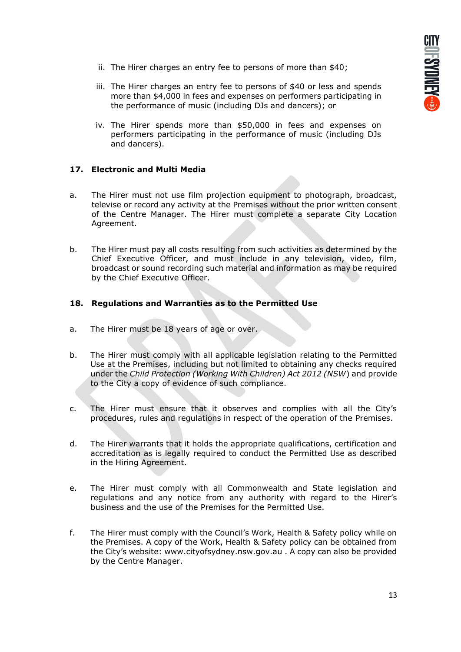- ii. The Hirer charges an entry fee to persons of more than \$40;
- iii. The Hirer charges an entry fee to persons of \$40 or less and spends more than \$4,000 in fees and expenses on performers participating in the performance of music (including DJs and dancers); or
- iv. The Hirer spends more than \$50,000 in fees and expenses on performers participating in the performance of music (including DJs and dancers).

# **17. Electronic and Multi Media**

- a. The Hirer must not use film projection equipment to photograph, broadcast, televise or record any activity at the Premises without the prior written consent of the Centre Manager. The Hirer must complete a separate City Location Agreement.
- b. The Hirer must pay all costs resulting from such activities as determined by the Chief Executive Officer, and must include in any television, video, film, broadcast or sound recording such material and information as may be required by the Chief Executive Officer.

# **18. Regulations and Warranties as to the Permitted Use**

- a. The Hirer must be 18 years of age or over.
- b. The Hirer must comply with all applicable legislation relating to the Permitted Use at the Premises, including but not limited to obtaining any checks required under the *Child Protection (Working With Children) Act 2012 (NSW*) and provide to the City a copy of evidence of such compliance.
- c. The Hirer must ensure that it observes and complies with all the City's procedures, rules and regulations in respect of the operation of the Premises.
- d. The Hirer warrants that it holds the appropriate qualifications, certification and accreditation as is legally required to conduct the Permitted Use as described in the Hiring Agreement.
- e. The Hirer must comply with all Commonwealth and State legislation and regulations and any notice from any authority with regard to the Hirer's business and the use of the Premises for the Permitted Use.
- f. The Hirer must comply with the Council's Work, Health & Safety policy while on the Premises. A copy of the Work, Health & Safety policy can be obtained from the City's website: www.cityofsydney.nsw.gov.au . A copy can also be provided by the Centre Manager.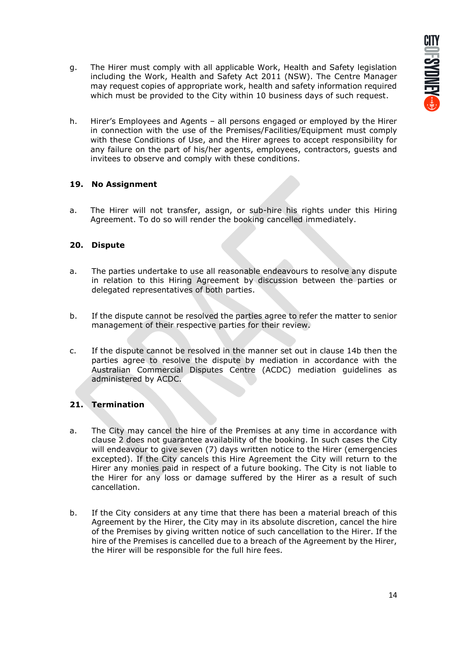- g. The Hirer must comply with all applicable Work, Health and Safety legislation including the Work, Health and Safety Act 2011 (NSW). The Centre Manager may request copies of appropriate work, health and safety information required which must be provided to the City within 10 business days of such request.
- h. Hirer's Employees and Agents all persons engaged or employed by the Hirer in connection with the use of the Premises/Facilities/Equipment must comply with these Conditions of Use, and the Hirer agrees to accept responsibility for any failure on the part of his/her agents, employees, contractors, guests and invitees to observe and comply with these conditions.

# **19. No Assignment**

a. The Hirer will not transfer, assign, or sub-hire his rights under this Hiring Agreement. To do so will render the booking cancelled immediately.

# **20. Dispute**

- a. The parties undertake to use all reasonable endeavours to resolve any dispute in relation to this Hiring Agreement by discussion between the parties or delegated representatives of both parties.
- b. If the dispute cannot be resolved the parties agree to refer the matter to senior management of their respective parties for their review.
- c. If the dispute cannot be resolved in the manner set out in clause 14b then the parties agree to resolve the dispute by mediation in accordance with the Australian Commercial Disputes Centre (ACDC) mediation guidelines as administered by ACDC.

# **21. Termination**

- a. The City may cancel the hire of the Premises at any time in accordance with clause 2 does not guarantee availability of the booking. In such cases the City will endeavour to give seven (7) days written notice to the Hirer (emergencies excepted). If the City cancels this Hire Agreement the City will return to the Hirer any monies paid in respect of a future booking. The City is not liable to the Hirer for any loss or damage suffered by the Hirer as a result of such cancellation.
- b. If the City considers at any time that there has been a material breach of this Agreement by the Hirer, the City may in its absolute discretion, cancel the hire of the Premises by giving written notice of such cancellation to the Hirer. If the hire of the Premises is cancelled due to a breach of the Agreement by the Hirer, the Hirer will be responsible for the full hire fees.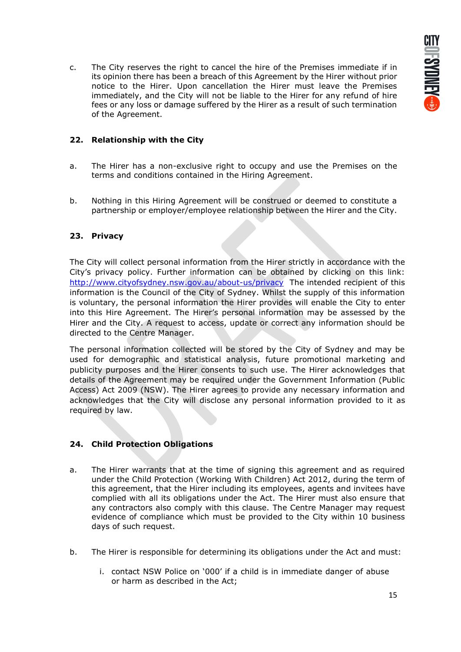c. The City reserves the right to cancel the hire of the Premises immediate if in its opinion there has been a breach of this Agreement by the Hirer without prior notice to the Hirer. Upon cancellation the Hirer must leave the Premises immediately, and the City will not be liable to the Hirer for any refund of hire fees or any loss or damage suffered by the Hirer as a result of such termination of the Agreement.

# **22. Relationship with the City**

- a. The Hirer has a non-exclusive right to occupy and use the Premises on the terms and conditions contained in the Hiring Agreement.
- b. Nothing in this Hiring Agreement will be construed or deemed to constitute a partnership or employer/employee relationship between the Hirer and the City.

### **23. Privacy**

The City will collect personal information from the Hirer strictly in accordance with the City's privacy policy. Further information can be obtained by clicking on this link: <http://www.cityofsydney.nsw.gov.au/about-us/privacy>The intended recipient of this information is the Council of the City of Sydney. Whilst the supply of this information is voluntary, the personal information the Hirer provides will enable the City to enter into this Hire Agreement. The Hirer's personal information may be assessed by the Hirer and the City. A request to access, update or correct any information should be directed to the Centre Manager.

The personal information collected will be stored by the City of Sydney and may be used for demographic and statistical analysis, future promotional marketing and publicity purposes and the Hirer consents to such use. The Hirer acknowledges that details of the Agreement may be required under the Government Information (Public Access) Act 2009 (NSW). The Hirer agrees to provide any necessary information and acknowledges that the City will disclose any personal information provided to it as required by law.

# **24. Child Protection Obligations**

- a. The Hirer warrants that at the time of signing this agreement and as required under the Child Protection (Working With Children) Act 2012, during the term of this agreement, that the Hirer including its employees, agents and invitees have complied with all its obligations under the Act. The Hirer must also ensure that any contractors also comply with this clause. The Centre Manager may request evidence of compliance which must be provided to the City within 10 business days of such request.
- b. The Hirer is responsible for determining its obligations under the Act and must:
	- i. contact NSW Police on '000' if a child is in immediate danger of abuse or harm as described in the Act;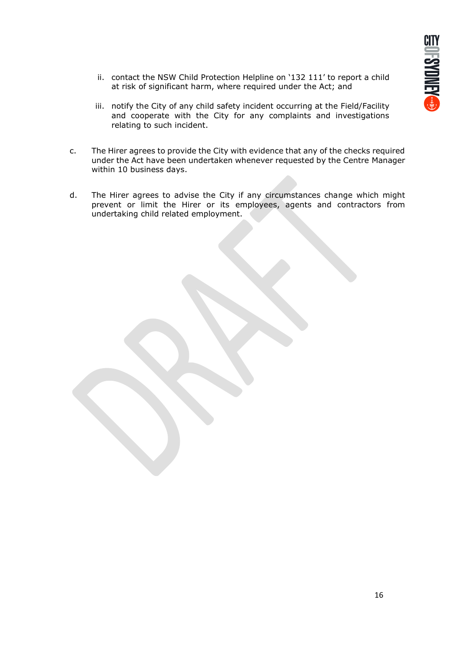- ii. contact the NSW Child Protection Helpline on '132 111' to report a child at risk of significant harm, where required under the Act; and
- iii. notify the City of any child safety incident occurring at the Field/Facility and cooperate with the City for any complaints and investigations relating to such incident.
- c. The Hirer agrees to provide the City with evidence that any of the checks required under the Act have been undertaken whenever requested by the Centre Manager within 10 business days.
- d. The Hirer agrees to advise the City if any circumstances change which might prevent or limit the Hirer or its employees, agents and contractors from undertaking child related employment.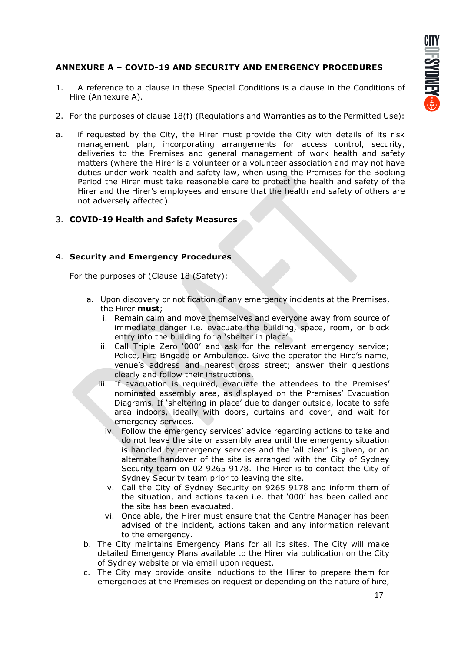# **ANNEXURE A – COVID-19 AND SECURITY AND EMERGENCY PROCEDURES**

- 1. A reference to a clause in these Special Conditions is a clause in the Conditions of Hire (Annexure A).
- 2. For the purposes of clause 18(f) (Regulations and Warranties as to the Permitted Use):
- a. if requested by the City, the Hirer must provide the City with details of its risk management plan, incorporating arrangements for access control, security, deliveries to the Premises and general management of work health and safety matters (where the Hirer is a volunteer or a volunteer association and may not have duties under work health and safety law, when using the Premises for the Booking Period the Hirer must take reasonable care to protect the health and safety of the Hirer and the Hirer's employees and ensure that the health and safety of others are not adversely affected).

# 3. **COVID-19 Health and Safety Measures**

### 4. **Security and Emergency Procedures**

For the purposes of (Clause 18 (Safety):

- a. Upon discovery or notification of any emergency incidents at the Premises, the Hirer **must**;
	- i. Remain calm and move themselves and everyone away from source of immediate danger i.e. evacuate the building, space, room, or block entry into the building for a 'shelter in place'
	- ii. Call Triple Zero '000' and ask for the relevant emergency service; Police, Fire Brigade or Ambulance. Give the operator the Hire's name, venue's address and nearest cross street; answer their questions clearly and follow their instructions.
	- iii. If evacuation is required, evacuate the attendees to the Premises' nominated assembly area, as displayed on the Premises' Evacuation Diagrams. If 'sheltering in place' due to danger outside, locate to safe area indoors, ideally with doors, curtains and cover, and wait for emergency services.
		- iv. Follow the emergency services' advice regarding actions to take and do not leave the site or assembly area until the emergency situation is handled by emergency services and the 'all clear' is given, or an alternate handover of the site is arranged with the City of Sydney Security team on 02 9265 9178. The Hirer is to contact the City of Sydney Security team prior to leaving the site.
		- v. Call the City of Sydney Security on 9265 9178 and inform them of the situation, and actions taken i.e. that '000' has been called and the site has been evacuated.
		- vi. Once able, the Hirer must ensure that the Centre Manager has been advised of the incident, actions taken and any information relevant to the emergency.
- b. The City maintains Emergency Plans for all its sites. The City will make detailed Emergency Plans available to the Hirer via publication on the City of Sydney website or via email upon request.
- c. The City may provide onsite inductions to the Hirer to prepare them for emergencies at the Premises on request or depending on the nature of hire,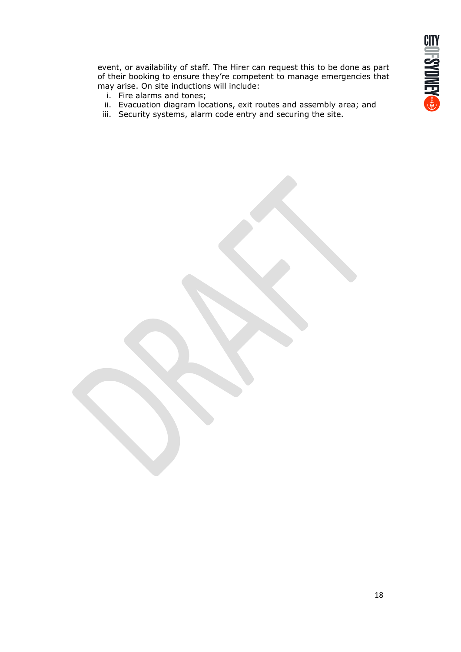event, or availability of staff. The Hirer can request this to be done as part of their booking to ensure they're competent to manage emergencies that may arise. On site inductions will include:

- i. Fire alarms and tones;
- ii. Evacuation diagram locations, exit routes and assembly area; and
- iii. Security systems, alarm code entry and securing the site.